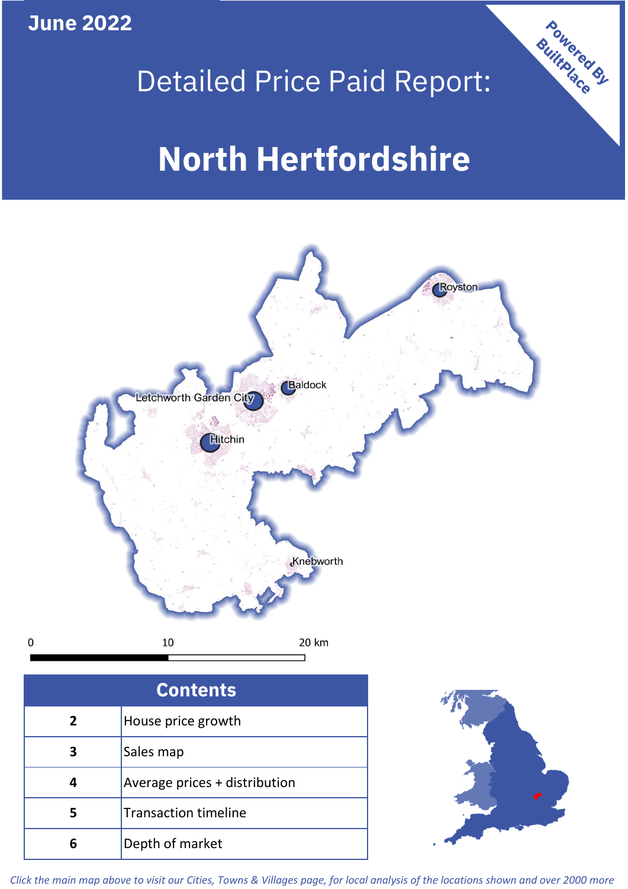**June 2022**

 $\mathbf 0$ 



# Detailed Price Paid Report:

# **North Hertfordshire**



| <b>Contents</b> |                               |  |  |
|-----------------|-------------------------------|--|--|
| $\overline{2}$  | House price growth            |  |  |
| 3               | Sales map                     |  |  |
| 4               | Average prices + distribution |  |  |
|                 | <b>Transaction timeline</b>   |  |  |
|                 | Depth of market               |  |  |



*Click the main map above to visit our Cities, Towns & Villages page, for local analysis of the locations shown and over 2000 more*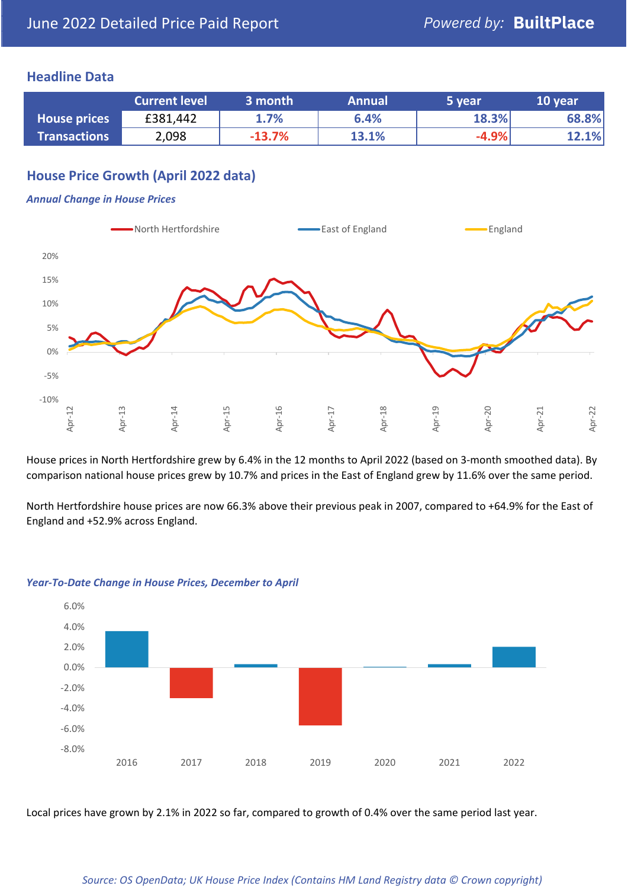### **Headline Data**

|                     | <b>Current level</b> | 3 month  | <b>Annual</b> | 5 year  | 10 year |
|---------------------|----------------------|----------|---------------|---------|---------|
| <b>House prices</b> | £381,442             | 1.7%     | 6.4%          | 18.3%   | 68.8%   |
| <b>Transactions</b> | 2,098                | $-13.7%$ | 13.1%         | $-4.9%$ | 12.1%   |

# **House Price Growth (April 2022 data)**

#### *Annual Change in House Prices*



House prices in North Hertfordshire grew by 6.4% in the 12 months to April 2022 (based on 3-month smoothed data). By comparison national house prices grew by 10.7% and prices in the East of England grew by 11.6% over the same period.

North Hertfordshire house prices are now 66.3% above their previous peak in 2007, compared to +64.9% for the East of England and +52.9% across England.



#### *Year-To-Date Change in House Prices, December to April*

Local prices have grown by 2.1% in 2022 so far, compared to growth of 0.4% over the same period last year.

#### *Source: OS OpenData; UK House Price Index (Contains HM Land Registry data © Crown copyright)*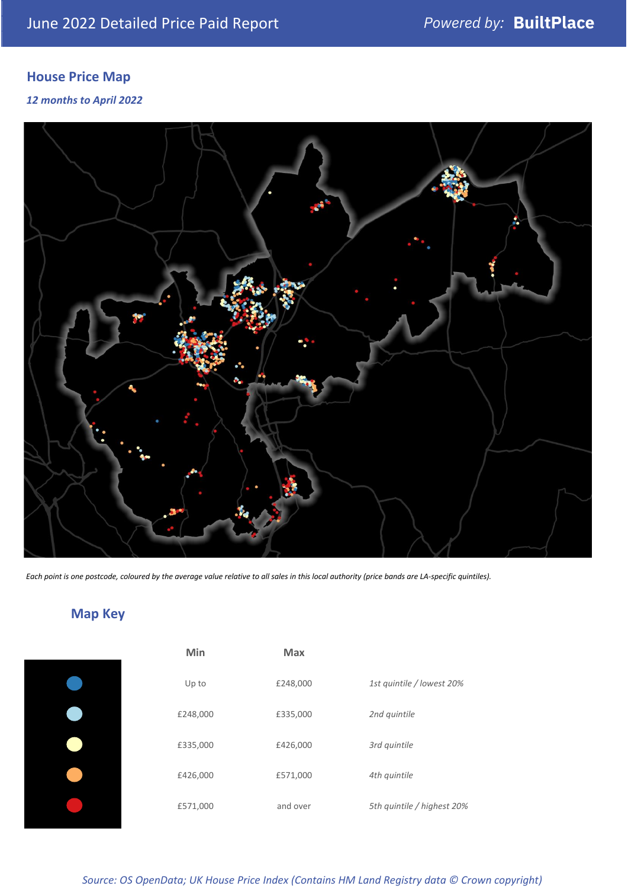# **House Price Map**

*12 months to April 2022*



*Each point is one postcode, coloured by the average value relative to all sales in this local authority (price bands are LA-specific quintiles).*

# **Map Key**

| Min      | <b>Max</b> |                            |
|----------|------------|----------------------------|
| Up to    | £248,000   | 1st quintile / lowest 20%  |
| £248,000 | £335,000   | 2nd quintile               |
| £335,000 | £426,000   | 3rd quintile               |
| £426,000 | £571,000   | 4th quintile               |
| £571,000 | and over   | 5th quintile / highest 20% |
|          |            |                            |

*Source: OS OpenData; UK House Price Index (Contains HM Land Registry data © Crown copyright)*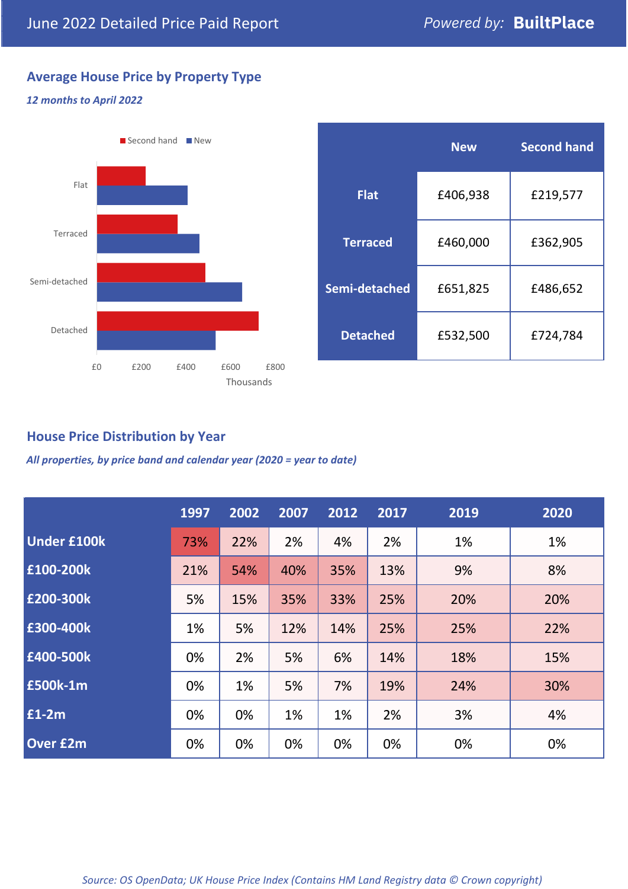# **Average House Price by Property Type**

#### *12 months to April 2022*



|                 | <b>New</b> | <b>Second hand</b> |  |  |
|-----------------|------------|--------------------|--|--|
| <b>Flat</b>     | £406,938   | £219,577           |  |  |
| <b>Terraced</b> | £460,000   | £362,905           |  |  |
| Semi-detached   | £651,825   | £486,652           |  |  |
| <b>Detached</b> | £532,500   | £724,784           |  |  |

## **House Price Distribution by Year**

*All properties, by price band and calendar year (2020 = year to date)*

|                    | 1997 | 2002 | 2007 | 2012 | 2017 | 2019 | 2020 |
|--------------------|------|------|------|------|------|------|------|
| <b>Under £100k</b> | 73%  | 22%  | 2%   | 4%   | 2%   | 1%   | 1%   |
| £100-200k          | 21%  | 54%  | 40%  | 35%  | 13%  | 9%   | 8%   |
| E200-300k          | 5%   | 15%  | 35%  | 33%  | 25%  | 20%  | 20%  |
| £300-400k          | 1%   | 5%   | 12%  | 14%  | 25%  | 25%  | 22%  |
| £400-500k          | 0%   | 2%   | 5%   | 6%   | 14%  | 18%  | 15%  |
| £500k-1m           | 0%   | 1%   | 5%   | 7%   | 19%  | 24%  | 30%  |
| £1-2m              | 0%   | 0%   | 1%   | 1%   | 2%   | 3%   | 4%   |
| <b>Over £2m</b>    | 0%   | 0%   | 0%   | 0%   | 0%   | 0%   | 0%   |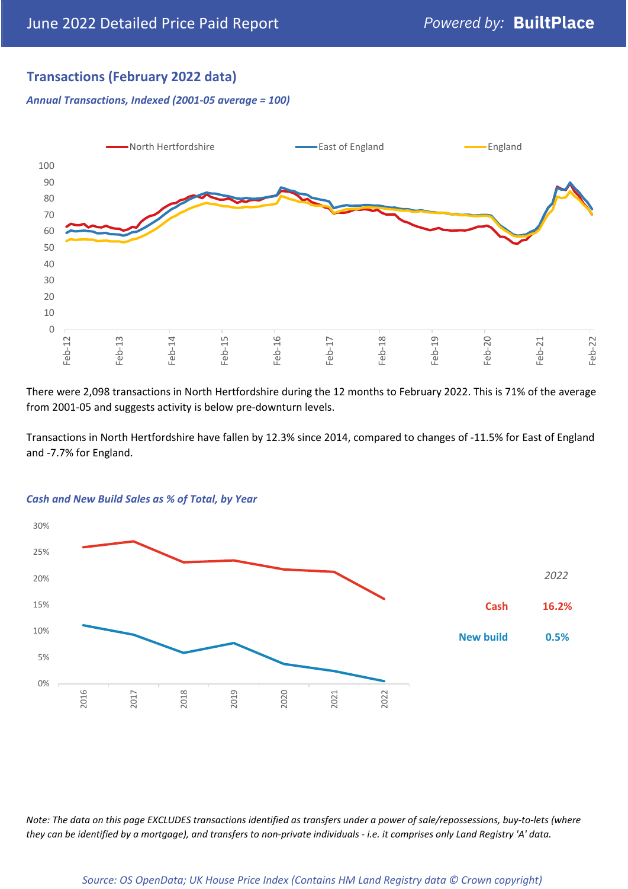# **Transactions (February 2022 data)**

*Annual Transactions, Indexed (2001-05 average = 100)*



There were 2,098 transactions in North Hertfordshire during the 12 months to February 2022. This is 71% of the average from 2001-05 and suggests activity is below pre-downturn levels.

Transactions in North Hertfordshire have fallen by 12.3% since 2014, compared to changes of -11.5% for East of England and -7.7% for England.



#### *Cash and New Build Sales as % of Total, by Year*

*Note: The data on this page EXCLUDES transactions identified as transfers under a power of sale/repossessions, buy-to-lets (where they can be identified by a mortgage), and transfers to non-private individuals - i.e. it comprises only Land Registry 'A' data.*